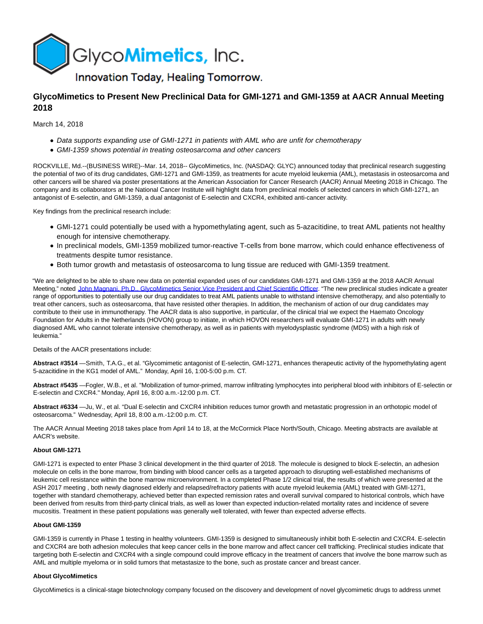

# **GlycoMimetics to Present New Preclinical Data for GMI-1271 and GMI-1359 at AACR Annual Meeting 2018**

March 14, 2018

- Data supports expanding use of GMI-1271 in patients with AML who are unfit for chemotherapy
- GMI-1359 shows potential in treating osteosarcoma and other cancers

ROCKVILLE, Md.--(BUSINESS WIRE)--Mar. 14, 2018-- GlycoMimetics, Inc. (NASDAQ: GLYC) announced today that preclinical research suggesting the potential of two of its drug candidates, GMI-1271 and GMI-1359, as treatments for acute myeloid leukemia (AML), metastasis in osteosarcoma and other cancers will be shared via poster presentations at the American Association for Cancer Research (AACR) Annual Meeting 2018 in Chicago. The company and its collaborators at the National Cancer Institute will highlight data from preclinical models of selected cancers in which GMI-1271, an antagonist of E-selectin, and GMI-1359, a dual antagonist of E-selectin and CXCR4, exhibited anti-cancer activity.

Key findings from the preclinical research include:

- GMI-1271 could potentially be used with a hypomethylating agent, such as 5-azacitidine, to treat AML patients not healthy enough for intensive chemotherapy.
- In preclinical models, GMI-1359 mobilized tumor-reactive T-cells from bone marrow, which could enhance effectiveness of treatments despite tumor resistance.
- Both tumor growth and metastasis of osteosarcoma to lung tissue are reduced with GMI-1359 treatment.

"We are delighted to be able to share new data on potential expanded uses of our candidates GMI-1271 and GMI-1359 at the 2018 AACR Annual Meeting," noted [John Magnani, Ph.D., GlycoMimetics Senior Vice President and Chief Scientific Officer.](http://cts.businesswire.com/ct/CT?id=smartlink&url=http%3A%2F%2Fir.glycomimetics.com%2Fmanagement.cfm&esheet=51773168&newsitemid=20180314006211&lan=en-US&anchor=John+Magnani%2C+Ph.D.%2C+GlycoMimetics%C2%A0Senior+Vice+President+and+Chief+Scientific+Officer&index=1&md5=275ad975a9d1185fc98394abf61c1648) "The new preclinical studies indicate a greater range of opportunities to potentially use our drug candidates to treat AML patients unable to withstand intensive chemotherapy, and also potentially to treat other cancers, such as osteosarcoma, that have resisted other therapies. In addition, the mechanism of action of our drug candidates may contribute to their use in immunotherapy. The AACR data is also supportive, in particular, of the clinical trial we expect the Haemato Oncology Foundation for Adults in the Netherlands (HOVON) group to initiate, in which HOVON researchers will evaluate GMI-1271 in adults with newly diagnosed AML who cannot tolerate intensive chemotherapy, as well as in patients with myelodysplastic syndrome (MDS) with a high risk of leukemia."

## Details of the AACR presentations include:

**Abstract #3514** —Smith, T.A.G., et al. "Glycomimetic antagonist of E-selectin, GMI-1271, enhances therapeutic activity of the hypomethylating agent 5-azacitidine in the KG1 model of AML." Monday, April 16, 1:00-5:00 p.m. CT.

**Abstract #5435** —Fogler, W.B., et al. "Mobilization of tumor-primed, marrow infiltrating lymphocytes into peripheral blood with inhibitors of E-selectin or E-selectin and CXCR4." Monday, April 16, 8:00 a.m.-12:00 p.m. CT.

**Abstract #6334** —Ju, W., et al. "Dual E-selectin and CXCR4 inhibition reduces tumor growth and metastatic progression in an orthotopic model of osteosarcoma." Wednesday, April 18, 8:00 a.m.-12:00 p.m. CT.

The AACR Annual Meeting 2018 takes place from April 14 to 18, at the McCormick Place North/South, Chicago. Meeting abstracts are available at AACR's website.

# **About GMI-1271**

GMI-1271 is expected to enter Phase 3 clinical development in the third quarter of 2018. The molecule is designed to block E-selectin, an adhesion molecule on cells in the bone marrow, from binding with blood cancer cells as a targeted approach to disrupting well-established mechanisms of leukemic cell resistance within the bone marrow microenvironment. In a completed Phase 1/2 clinical trial, the results of which were presented at the ASH 2017 meeting , both newly diagnosed elderly and relapsed/refractory patients with acute myeloid leukemia (AML) treated with GMI-1271, together with standard chemotherapy, achieved better than expected remission rates and overall survival compared to historical controls, which have been derived from results from third-party clinical trials, as well as lower than expected induction-related mortality rates and incidence of severe mucositis. Treatment in these patient populations was generally well tolerated, with fewer than expected adverse effects.

#### **About GMI-1359**

GMI-1359 is currently in Phase 1 testing in healthy volunteers. GMI-1359 is designed to simultaneously inhibit both E-selectin and CXCR4. E-selectin and CXCR4 are both adhesion molecules that keep cancer cells in the bone marrow and affect cancer cell trafficking. Preclinical studies indicate that targeting both E-selectin and CXCR4 with a single compound could improve efficacy in the treatment of cancers that involve the bone marrow such as AML and multiple myeloma or in solid tumors that metastasize to the bone, such as prostate cancer and breast cancer.

## **About GlycoMimetics**

GlycoMimetics is a clinical-stage biotechnology company focused on the discovery and development of novel glycomimetic drugs to address unmet